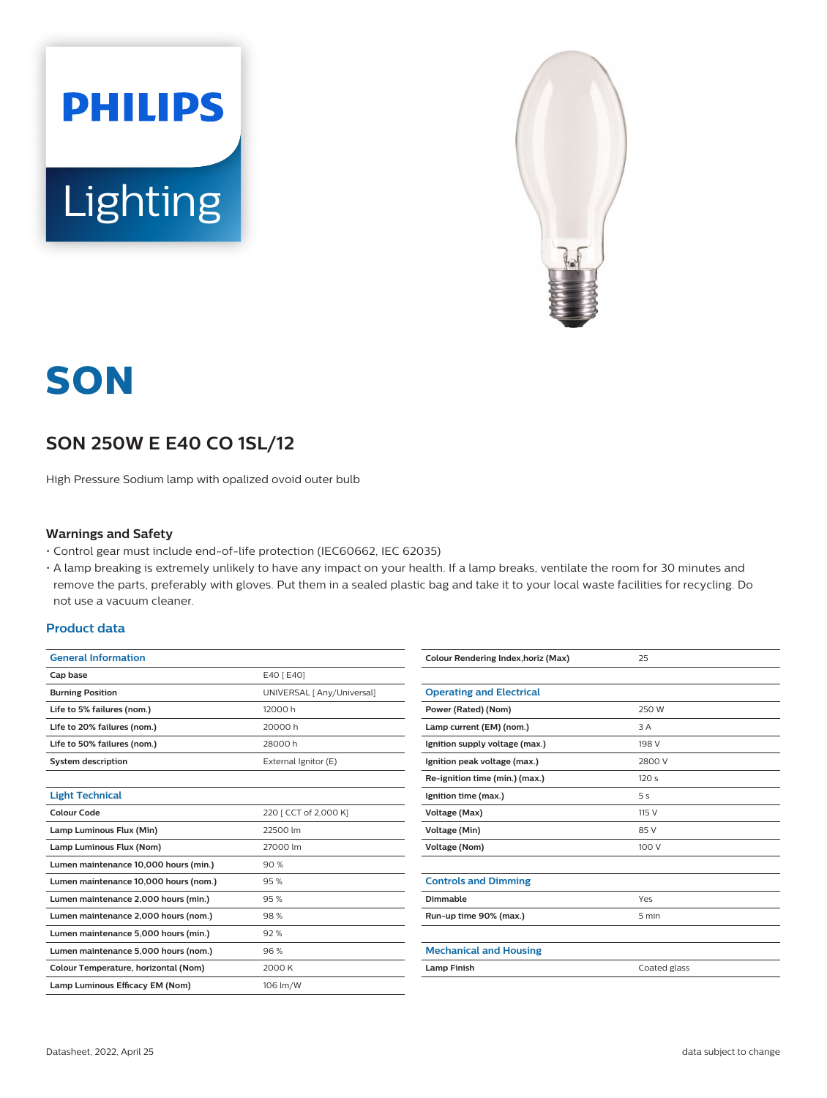



# **SON**

# **SON 250W E E40 CO 1SL/12**

High Pressure Sodium lamp with opalized ovoid outer bulb

#### **Warnings and Safety**

- Control gear must include end-of-life protection (IEC60662, IEC 62035)
- A lamp breaking is extremely unlikely to have any impact on your health. If a lamp breaks, ventilate the room for 30 minutes and remove the parts, preferably with gloves. Put them in a sealed plastic bag and take it to your local waste facilities for recycling. Do not use a vacuum cleaner.

### **Product data**

| <b>General Information</b>            |                            |  |
|---------------------------------------|----------------------------|--|
| Cap base                              | E40 [ E40]                 |  |
| <b>Burning Position</b>               | UNIVERSAL [ Any/Universal] |  |
| Life to 5% failures (nom.)            | 12000 h                    |  |
| Life to 20% failures (nom.)           | 20000 h                    |  |
| Life to 50% failures (nom.)           | 28000 h                    |  |
| <b>System description</b>             | External Ignitor (E)       |  |
|                                       |                            |  |
| <b>Light Technical</b>                |                            |  |
| Colour Code                           | 220   CCT of 2,000 K]      |  |
| Lamp Luminous Flux (Min)              | 22500 lm                   |  |
| Lamp Luminous Flux (Nom)              | 27000 lm                   |  |
| Lumen maintenance 10,000 hours (min.) | 90%                        |  |
| Lumen maintenance 10,000 hours (nom.) | 95%                        |  |
| Lumen maintenance 2,000 hours (min.)  | 95%                        |  |
| Lumen maintenance 2,000 hours (nom.)  | 98%                        |  |
| Lumen maintenance 5,000 hours (min.)  | 92%                        |  |
| Lumen maintenance 5,000 hours (nom.)  | 96%                        |  |
| Colour Temperature, horizontal (Nom)  | 2000 K                     |  |
| Lamp Luminous Efficacy EM (Nom)       | 106 lm/W                   |  |

| <b>Operating and Electrical</b><br>250 W<br>Power (Rated) (Nom)<br>Lamp current (EM) (nom.)<br>3 A<br>198 V<br>Ignition supply voltage (max.)<br>Ignition peak voltage (max.)<br>2800 V<br>Re-ignition time (min.) (max.)<br>120s<br>Ignition time (max.)<br>5s<br>Voltage (Max)<br>115 V<br>Voltage (Min)<br>85 V<br>100 V<br>Voltage (Nom)<br><b>Controls and Dimming</b><br>Dimmable<br>Yes<br>Run-up time 90% (max.)<br>5 min<br><b>Mechanical and Housing</b><br><b>Lamp Finish</b><br>Coated glass | Colour Rendering Index, horiz (Max) | 25 |
|----------------------------------------------------------------------------------------------------------------------------------------------------------------------------------------------------------------------------------------------------------------------------------------------------------------------------------------------------------------------------------------------------------------------------------------------------------------------------------------------------------|-------------------------------------|----|
|                                                                                                                                                                                                                                                                                                                                                                                                                                                                                                          |                                     |    |
|                                                                                                                                                                                                                                                                                                                                                                                                                                                                                                          |                                     |    |
|                                                                                                                                                                                                                                                                                                                                                                                                                                                                                                          |                                     |    |
|                                                                                                                                                                                                                                                                                                                                                                                                                                                                                                          |                                     |    |
|                                                                                                                                                                                                                                                                                                                                                                                                                                                                                                          |                                     |    |
|                                                                                                                                                                                                                                                                                                                                                                                                                                                                                                          |                                     |    |
|                                                                                                                                                                                                                                                                                                                                                                                                                                                                                                          |                                     |    |
|                                                                                                                                                                                                                                                                                                                                                                                                                                                                                                          |                                     |    |
|                                                                                                                                                                                                                                                                                                                                                                                                                                                                                                          |                                     |    |
|                                                                                                                                                                                                                                                                                                                                                                                                                                                                                                          |                                     |    |
|                                                                                                                                                                                                                                                                                                                                                                                                                                                                                                          |                                     |    |
|                                                                                                                                                                                                                                                                                                                                                                                                                                                                                                          |                                     |    |
|                                                                                                                                                                                                                                                                                                                                                                                                                                                                                                          |                                     |    |
|                                                                                                                                                                                                                                                                                                                                                                                                                                                                                                          |                                     |    |
|                                                                                                                                                                                                                                                                                                                                                                                                                                                                                                          |                                     |    |
|                                                                                                                                                                                                                                                                                                                                                                                                                                                                                                          |                                     |    |
|                                                                                                                                                                                                                                                                                                                                                                                                                                                                                                          |                                     |    |
|                                                                                                                                                                                                                                                                                                                                                                                                                                                                                                          |                                     |    |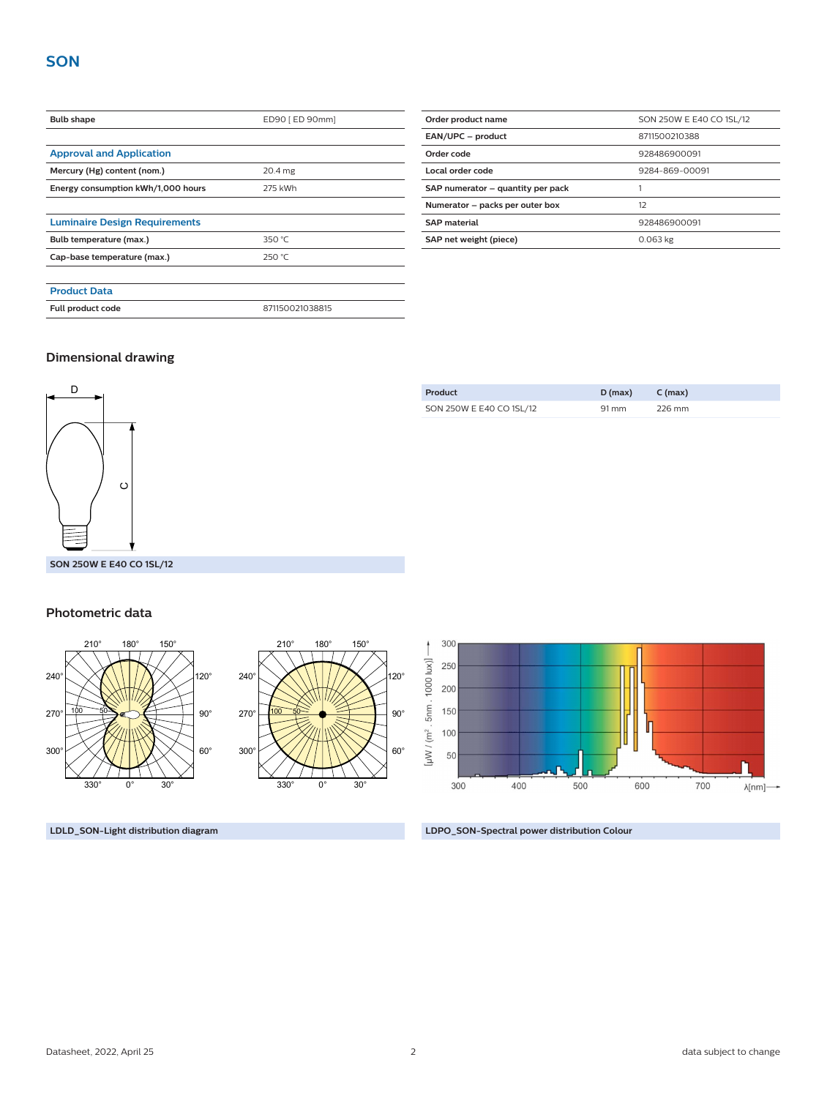| <b>Bulb shape</b>                    | ED90 [ ED 90mm] |  |
|--------------------------------------|-----------------|--|
|                                      |                 |  |
| <b>Approval and Application</b>      |                 |  |
| Mercury (Hg) content (nom.)          | 20.4 mg         |  |
| Energy consumption kWh/1,000 hours   | 275 kWh         |  |
|                                      |                 |  |
| <b>Luminaire Design Requirements</b> |                 |  |
| Bulb temperature (max.)              | 350 $°C$        |  |
| Cap-base temperature (max.)          | 250 °C          |  |
|                                      |                 |  |
| <b>Product Data</b>                  |                 |  |
| Full product code                    | 871150021038815 |  |

| Order product name                | SON 250W E E40 CO 1SL/12 |  |  |
|-----------------------------------|--------------------------|--|--|
| EAN/UPC - product                 | 8711500210388            |  |  |
| Order code                        | 928486900091             |  |  |
| Local order code                  | 9284-869-00091           |  |  |
| SAP numerator - quantity per pack |                          |  |  |
| Numerator - packs per outer box   | 12                       |  |  |
| <b>SAP</b> material               | 928486900091             |  |  |
| SAP net weight (piece)            | $0.063$ kg               |  |  |

# **Dimensional drawing**



| SON 250W E E40 CO 1SL/12 | 91 mm | 226 mm |
|--------------------------|-------|--------|
|                          |       |        |

**Product D (max) C (max)**

#### **Photometric data**



**LDLD\_SON-Light distribution diagram LDPO\_SON-Spectral power distribution Colour**